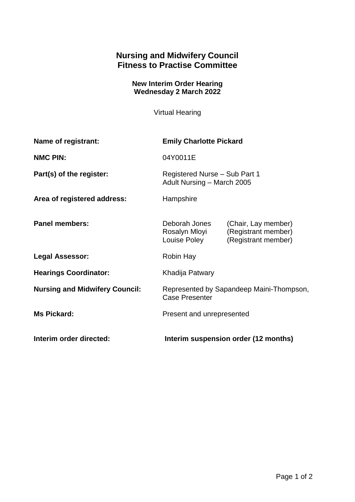## **Nursing and Midwifery Council Fitness to Practise Committee**

## **New Interim Order Hearing Wednesday 2 March 2022**

Virtual Hearing

| Name of registrant:                   | <b>Emily Charlotte Pickard</b>                                    |                                                                   |
|---------------------------------------|-------------------------------------------------------------------|-------------------------------------------------------------------|
| <b>NMC PIN:</b>                       | 04Y0011E                                                          |                                                                   |
| Part(s) of the register:              | Registered Nurse - Sub Part 1<br>Adult Nursing - March 2005       |                                                                   |
| Area of registered address:           | Hampshire                                                         |                                                                   |
| <b>Panel members:</b>                 | Deborah Jones<br>Rosalyn Mloyi<br>Louise Poley                    | (Chair, Lay member)<br>(Registrant member)<br>(Registrant member) |
| <b>Legal Assessor:</b>                | Robin Hay                                                         |                                                                   |
| <b>Hearings Coordinator:</b>          | Khadija Patwary                                                   |                                                                   |
| <b>Nursing and Midwifery Council:</b> | Represented by Sapandeep Maini-Thompson,<br><b>Case Presenter</b> |                                                                   |
| <b>Ms Pickard:</b>                    | Present and unrepresented                                         |                                                                   |
| Interim order directed:               | Interim suspension order (12 months)                              |                                                                   |